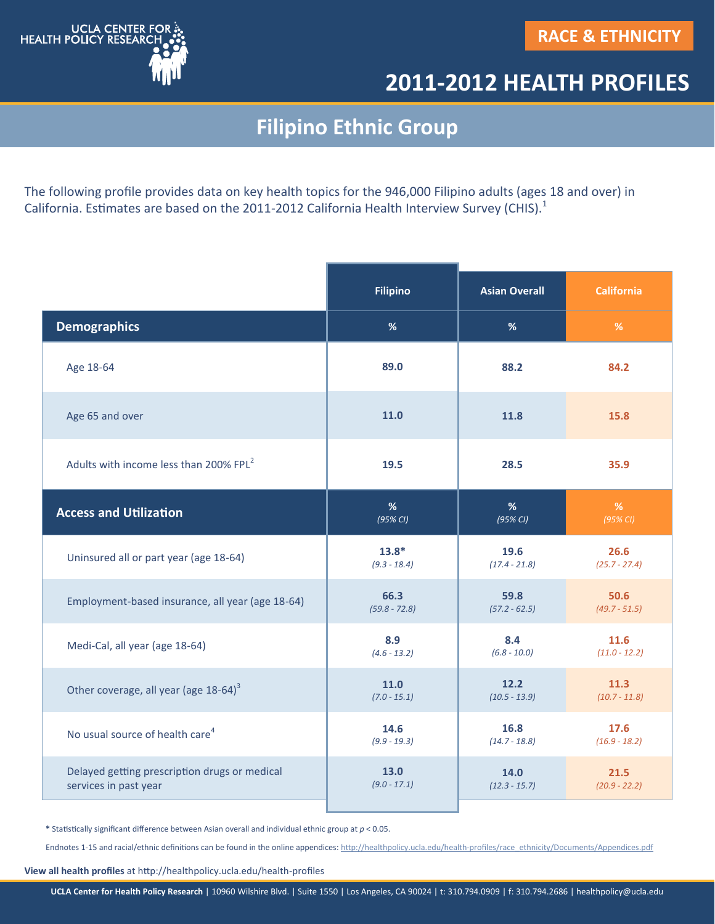

## **2011-2012 HEALTH PROFILES**

## **Filipino Ethnic Group**

The following profile provides data on key health topics for the 946,000 Filipino adults (ages 18 and over) in California. Estimates are based on the 2011-2012 California Health Interview Survey (CHIS).<sup>1</sup>

|                                                    | <b>Filipino</b> | <b>Asian Overall</b> | <b>California</b> |
|----------------------------------------------------|-----------------|----------------------|-------------------|
| <b>Demographics</b>                                | %               | %                    | $\%$              |
| Age 18-64                                          | 89.0            | 88.2                 | 84.2              |
| Age 65 and over                                    | 11.0            | 11.8                 | 15.8              |
| Adults with income less than 200% FPL <sup>2</sup> | 19.5            | 28.5                 | 35.9              |
| <b>Access and Utilization</b>                      | %               | %                    | %                 |
|                                                    | (95% CI)        | $(95\%$ CI)          | $(95\%$ CI)       |
| Uninsured all or part year (age 18-64)             | $13.8*$         | 19.6                 | 26.6              |
|                                                    | $(9.3 - 18.4)$  | $(17.4 - 21.8)$      | $(25.7 - 27.4)$   |
| Employment-based insurance, all year (age 18-64)   | 66.3            | 59.8                 | 50.6              |
|                                                    | $(59.8 - 72.8)$ | $(57.2 - 62.5)$      | $(49.7 - 51.5)$   |
| Medi-Cal, all year (age 18-64)                     | 8.9             | 8.4                  | 11.6              |
|                                                    | $(4.6 - 13.2)$  | $(6.8 - 10.0)$       | $(11.0 - 12.2)$   |
| Other coverage, all year (age 18-64) <sup>3</sup>  | 11.0            | 12.2                 | 11.3              |
|                                                    | $(7.0 - 15.1)$  | $(10.5 - 13.9)$      | $(10.7 - 11.8)$   |
| No usual source of health care <sup>4</sup>        | 14.6            | 16.8                 | 17.6              |
|                                                    | $(9.9 - 19.3)$  | $(14.7 - 18.8)$      | $(16.9 - 18.2)$   |
| Delayed getting prescription drugs or medical      | 13.0            | 14.0                 | 21.5              |
| services in past year                              | $(9.0 - 17.1)$  | $(12.3 - 15.7)$      | $(20.9 - 22.2)$   |

**\*** Statistically significant difference between Asian overall and individual ethnic group at *p* < 0.05.

Endnotes 1-15 and racial/ethnic definitions can be found in the online appendices: http://healthpolicy.ucla.edu/health-[profiles/race\\_ethnicity/Documents/Appendices.pdf](http://healthpolicy.ucla.edu/health-profiles/race_ethnicity/Documents/Appendices.pdf)

**View all health profiles** at http://healthpolicy.ucla.edu/health-profiles

**UCLA Center for Health Policy Research** | 10960 Wilshire Blvd. | Suite 1550 | Los Angeles, CA 90024 | t: 310.794.0909 | f: 310.794.2686 | healthpolicy@ucla.edu